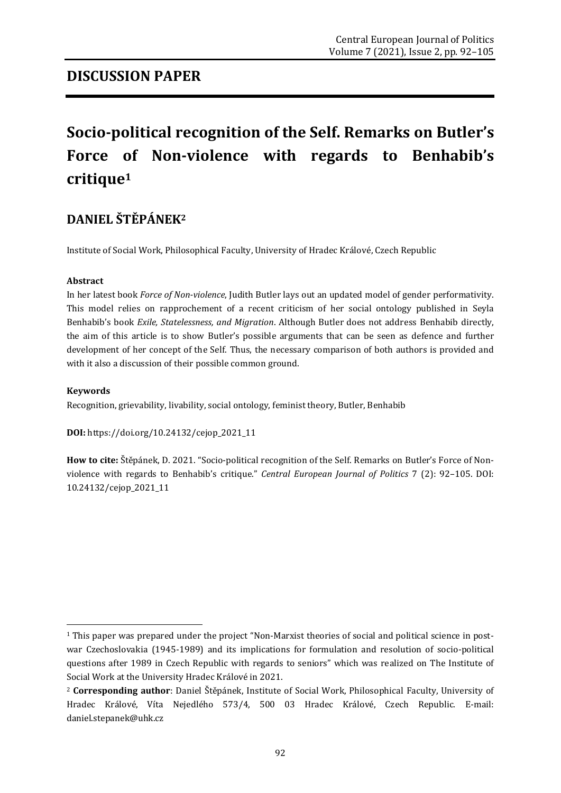# **Socio-political recognition of the Self. Remarks on Butler's Force of Non-violence with regards to Benhabib's critique<sup>1</sup>**

### **DANIEL ŠTĚPÁNEK<sup>2</sup>**

Institute of Social Work, Philosophical Faculty, University of Hradec Králové, Czech Republic

#### **Abstract**

In her latest book *Force of Non-violence*, Judith Butler lays out an updated model of gender performativity. This model relies on rapprochement of a recent criticism of her social ontology published in Seyla Benhabib's book *Exile, Statelessness, and Migration*. Although Butler does not address Benhabib directly, the aim of this article is to show Butler's possible arguments that can be seen as defence and further development of her concept of the Self. Thus, the necessary comparison of both authors is provided and with it also a discussion of their possible common ground.

#### **Keywords**

1

Recognition, grievability, livability, social ontology, feminist theory, Butler, Benhabib

**DOI:** [https://doi.org/10.24132/c](https://doi.org/10.24132/?fbclid=IwAR3FkqEiC5TEXLTbL5NNy6GcEElvMDqetW3csS9Beo10se4egOWiQ6llCvs)ejop\_2021\_11

**How to cite:** Štěpánek, D. 2021. "Socio-political recognition of the Self. Remarks on Butler's Force of Nonviolence with regards to Benhabib's critique." *Central European Journal of Politics* 7 (2): 92–105. DOI: 10.24132/cejop\_2021\_11

<sup>1</sup> This paper was prepared under the project "Non-Marxist theories of social and political science in postwar Czechoslovakia (1945-1989) and its implications for formulation and resolution of socio-political questions after 1989 in Czech Republic with regards to seniors" which was realized on The Institute of Social Work at the University Hradec Králové in 2021.

<sup>2</sup> **Corresponding author**: Daniel Štěpánek, Institute of Social Work, Philosophical Faculty, University of Hradec Králové, Víta Nejedlého 573/4, 500 03 Hradec Králové, Czech Republic. E-mail: daniel.stepanek@uhk.cz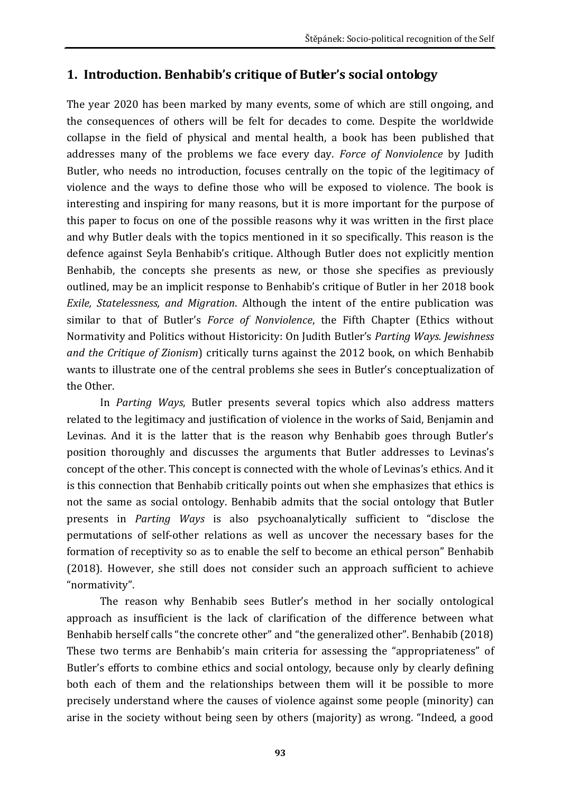### **1. Introduction. Benhabib's critique of Butler's social ontology**

The year 2020 has been marked by many events, some of which are still ongoing, and the consequences of others will be felt for decades to come. Despite the worldwide collapse in the field of physical and mental health, a book has been published that addresses many of the problems we face every day. *Force of Nonviolence* by Judith Butler, who needs no introduction, focuses centrally on the topic of the legitimacy of violence and the ways to define those who will be exposed to violence. The book is interesting and inspiring for many reasons, but it is more important for the purpose of this paper to focus on one of the possible reasons why it was written in the first place and why Butler deals with the topics mentioned in it so specifically. This reason is the defence against Seyla Benhabib's critique. Although Butler does not explicitly mention Benhabib, the concepts she presents as new, or those she specifies as previously outlined, may be an implicit response to Benhabib's critique of Butler in her 2018 book *Exile, Statelessness, and Migration*. Although the intent of the entire publication was similar to that of Butler's *Force of Nonviolence*, the Fifth Chapter (Ethics without Normativity and Politics without Historicity: On Judith Butler's *Parting Ways. Jewishness and the Critique of Zionism*) critically turns against the 2012 book, on which Benhabib wants to illustrate one of the central problems she sees in Butler's conceptualization of the Other.

In *Parting Ways*, Butler presents several topics which also address matters related to the legitimacy and justification of violence in the works of Said, Benjamin and Levinas. And it is the latter that is the reason why Benhabib goes through Butler's position thoroughly and discusses the arguments that Butler addresses to Levinas's concept of the other. This concept is connected with the whole of Levinas's ethics. And it is this connection that Benhabib critically points out when she emphasizes that ethics is not the same as social ontology. Benhabib admits that the social ontology that Butler presents in *Parting Ways* is also psychoanalytically sufficient to "disclose the permutations of self-other relations as well as uncover the necessary bases for the formation of receptivity so as to enable the self to become an ethical person" Benhabib (2018). However, she still does not consider such an approach sufficient to achieve "normativity".

The reason why Benhabib sees Butler's method in her socially ontological approach as insufficient is the lack of clarification of the difference between what Benhabib herself calls "the concrete other" and "the generalized other". Benhabib (2018) These two terms are Benhabib's main criteria for assessing the "appropriateness" of Butler's efforts to combine ethics and social ontology, because only by clearly defining both each of them and the relationships between them will it be possible to more precisely understand where the causes of violence against some people (minority) can arise in the society without being seen by others (majority) as wrong. "Indeed, a good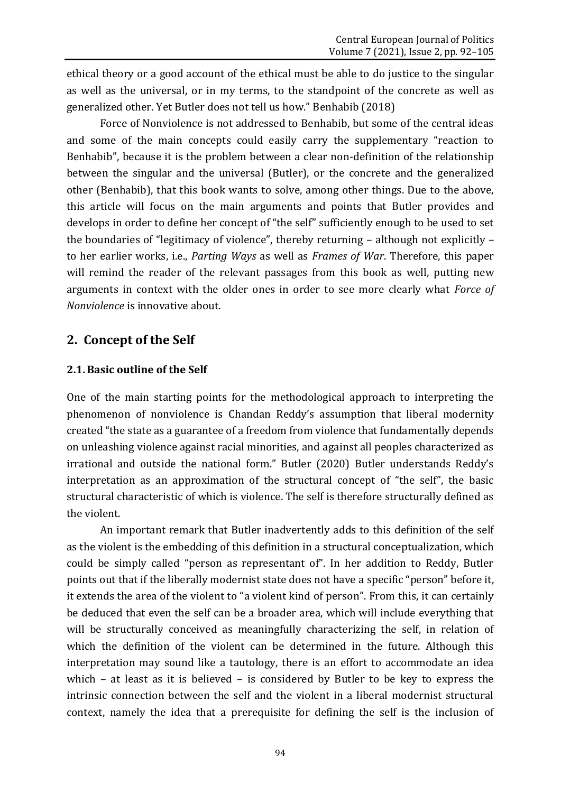ethical theory or a good account of the ethical must be able to do justice to the singular as well as the universal, or in my terms, to the standpoint of the concrete as well as generalized other. Yet Butler does not tell us how." Benhabib (2018)

Force of Nonviolence is not addressed to Benhabib, but some of the central ideas and some of the main concepts could easily carry the supplementary "reaction to Benhabib", because it is the problem between a clear non-definition of the relationship between the singular and the universal (Butler), or the concrete and the generalized other (Benhabib), that this book wants to solve, among other things. Due to the above, this article will focus on the main arguments and points that Butler provides and develops in order to define her concept of "the self" sufficiently enough to be used to set the boundaries of "legitimacy of violence", thereby returning – although not explicitly – to her earlier works, i.e., *Parting Ways* as well as *Frames of War*. Therefore, this paper will remind the reader of the relevant passages from this book as well, putting new arguments in context with the older ones in order to see more clearly what *Force of Nonviolence* is innovative about.

### **2. Concept of the Self**

### **2.1.Basic outline of the Self**

One of the main starting points for the methodological approach to interpreting the phenomenon of nonviolence is Chandan Reddy's assumption that liberal modernity created "the state as a guarantee of a freedom from violence that fundamentally depends on unleashing violence against racial minorities, and against all peoples characterized as irrational and outside the national form." Butler (2020) Butler understands Reddy's interpretation as an approximation of the structural concept of "the self", the basic structural characteristic of which is violence. The self is therefore structurally defined as the violent.

An important remark that Butler inadvertently adds to this definition of the self as the violent is the embedding of this definition in a structural conceptualization, which could be simply called "person as representant of". In her addition to Reddy, Butler points out that if the liberally modernist state does not have a specific "person" before it, it extends the area of the violent to "a violent kind of person". From this, it can certainly be deduced that even the self can be a broader area, which will include everything that will be structurally conceived as meaningfully characterizing the self, in relation of which the definition of the violent can be determined in the future. Although this interpretation may sound like a tautology, there is an effort to accommodate an idea which – at least as it is believed – is considered by Butler to be key to express the intrinsic connection between the self and the violent in a liberal modernist structural context, namely the idea that a prerequisite for defining the self is the inclusion of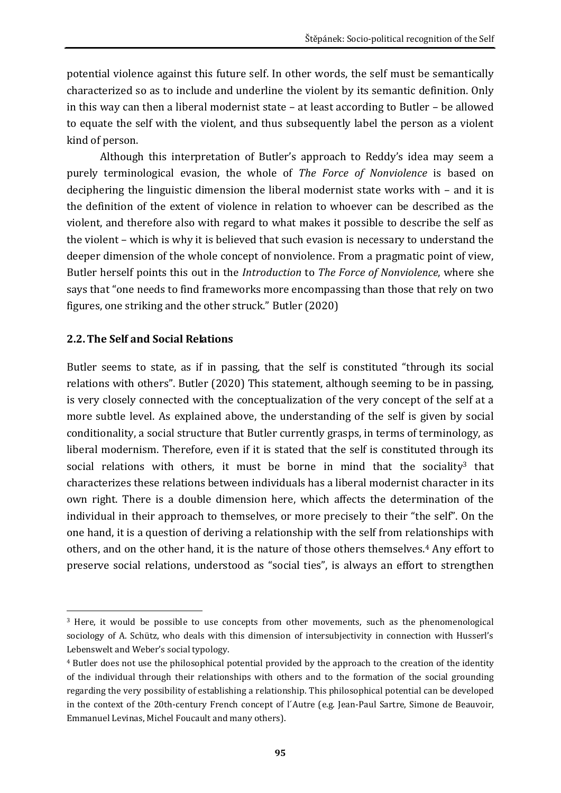potential violence against this future self. In other words, the self must be semantically characterized so as to include and underline the violent by its semantic definition. Only in this way can then a liberal modernist state – at least according to Butler – be allowed to equate the self with the violent, and thus subsequently label the person as a violent kind of person.

Although this interpretation of Butler's approach to Reddy's idea may seem a purely terminological evasion, the whole of *The Force of Nonviolence* is based on deciphering the linguistic dimension the liberal modernist state works with – and it is the definition of the extent of violence in relation to whoever can be described as the violent, and therefore also with regard to what makes it possible to describe the self as the violent – which is why it is believed that such evasion is necessary to understand the deeper dimension of the whole concept of nonviolence. From a pragmatic point of view, Butler herself points this out in the *Introduction* to *The Force of Nonviolence*, where she says that "one needs to find frameworks more encompassing than those that rely on two figures, one striking and the other struck." Butler (2020)

#### **2.2.The Self and Social Relations**

Butler seems to state, as if in passing, that the self is constituted "through its social relations with others". Butler (2020) This statement, although seeming to be in passing, is very closely connected with the conceptualization of the very concept of the self at a more subtle level. As explained above, the understanding of the self is given by social conditionality, a social structure that Butler currently grasps, in terms of terminology, as liberal modernism. Therefore, even if it is stated that the self is constituted through its social relations with others, it must be borne in mind that the sociality<sup>3</sup> that characterizes these relations between individuals has a liberal modernist character in its own right. There is a double dimension here, which affects the determination of the individual in their approach to themselves, or more precisely to their "the self". On the one hand, it is a question of deriving a relationship with the self from relationships with others, and on the other hand, it is the nature of those others themselves.<sup>4</sup> Any effort to preserve social relations, understood as "social ties", is always an effort to strengthen

<sup>1</sup> <sup>3</sup> Here, it would be possible to use concepts from other movements, such as the phenomenological sociology of A. Schütz, who deals with this dimension of intersubjectivity in connection with Husserl's Lebenswelt and Weber's social typology.

<sup>4</sup> Butler does not use the philosophical potential provided by the approach to the creation of the identity of the individual through their relationships with others and to the formation of the social grounding regarding the very possibility of establishing a relationship. This philosophical potential can be developed in the context of the 20th-century French concept of l´Autre (e.g. Jean-Paul Sartre, Simone de Beauvoir, Emmanuel Levinas, Michel Foucault and many others).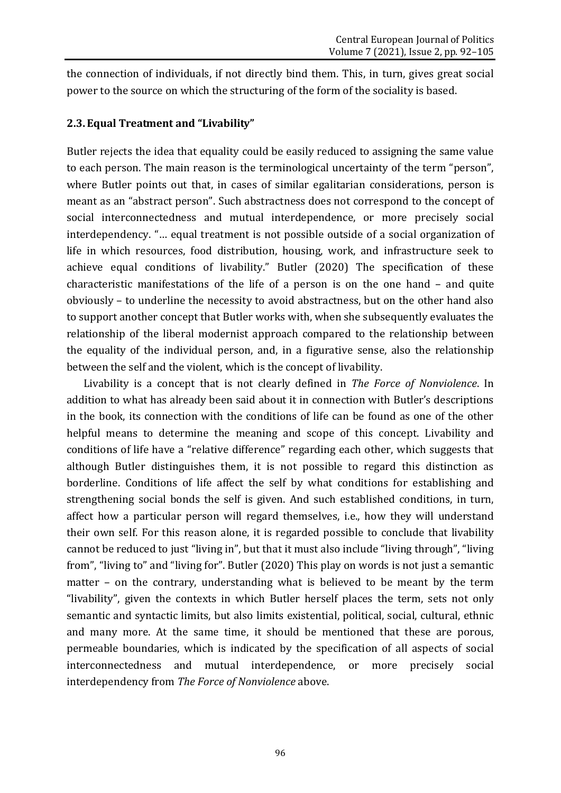the connection of individuals, if not directly bind them. This, in turn, gives great social power to the source on which the structuring of the form of the sociality is based.

#### **2.3.Equal Treatment and "Livability"**

Butler rejects the idea that equality could be easily reduced to assigning the same value to each person. The main reason is the terminological uncertainty of the term "person", where Butler points out that, in cases of similar egalitarian considerations, person is meant as an "abstract person". Such abstractness does not correspond to the concept of social interconnectedness and mutual interdependence, or more precisely social interdependency. "… equal treatment is not possible outside of a social organization of life in which resources, food distribution, housing, work, and infrastructure seek to achieve equal conditions of livability." Butler (2020) The specification of these characteristic manifestations of the life of a person is on the one hand – and quite obviously – to underline the necessity to avoid abstractness, but on the other hand also to support another concept that Butler works with, when she subsequently evaluates the relationship of the liberal modernist approach compared to the relationship between the equality of the individual person, and, in a figurative sense, also the relationship between the self and the violent, which is the concept of livability.

Livability is a concept that is not clearly defined in *The Force of Nonviolence*. In addition to what has already been said about it in connection with Butler's descriptions in the book, its connection with the conditions of life can be found as one of the other helpful means to determine the meaning and scope of this concept. Livability and conditions of life have a "relative difference" regarding each other, which suggests that although Butler distinguishes them, it is not possible to regard this distinction as borderline. Conditions of life affect the self by what conditions for establishing and strengthening social bonds the self is given. And such established conditions, in turn, affect how a particular person will regard themselves, i.e., how they will understand their own self. For this reason alone, it is regarded possible to conclude that livability cannot be reduced to just "living in", but that it must also include "living through", "living from", "living to" and "living for". Butler (2020) This play on words is not just a semantic matter – on the contrary, understanding what is believed to be meant by the term "livability", given the contexts in which Butler herself places the term, sets not only semantic and syntactic limits, but also limits existential, political, social, cultural, ethnic and many more. At the same time, it should be mentioned that these are porous, permeable boundaries, which is indicated by the specification of all aspects of social interconnectedness and mutual interdependence, or more precisely social interdependency from *The Force of Nonviolence* above.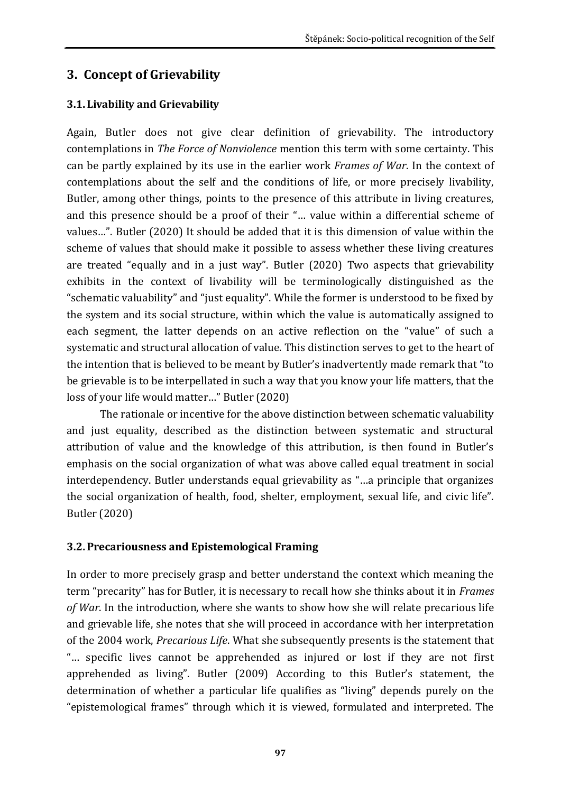## **3. Concept of Grievability**

### **3.1. Livability and Grievability**

Again, Butler does not give clear definition of grievability. The introductory contemplations in *The Force of Nonviolence* mention this term with some certainty. This can be partly explained by its use in the earlier work *Frames of War*. In the context of contemplations about the self and the conditions of life, or more precisely livability, Butler, among other things, points to the presence of this attribute in living creatures, and this presence should be a proof of their "… value within a differential scheme of values…". Butler (2020) It should be added that it is this dimension of value within the scheme of values that should make it possible to assess whether these living creatures are treated "equally and in a just way". Butler (2020) Two aspects that grievability exhibits in the context of livability will be terminologically distinguished as the "schematic valuability" and "just equality". While the former is understood to be fixed by the system and its social structure, within which the value is automatically assigned to each segment, the latter depends on an active reflection on the "value" of such a systematic and structural allocation of value. This distinction serves to get to the heart of the intention that is believed to be meant by Butler's inadvertently made remark that "to be grievable is to be interpellated in such a way that you know your life matters, that the loss of your life would matter…" Butler (2020)

The rationale or incentive for the above distinction between schematic valuability and just equality, described as the distinction between systematic and structural attribution of value and the knowledge of this attribution, is then found in Butler's emphasis on the social organization of what was above called equal treatment in social interdependency. Butler understands equal grievability as "…a principle that organizes the social organization of health, food, shelter, employment, sexual life, and civic life". Butler (2020)

### **3.2.Precariousness and Epistemological Framing**

In order to more precisely grasp and better understand the context which meaning the term "precarity" has for Butler, it is necessary to recall how she thinks about it in *Frames of War*. In the introduction, where she wants to show how she will relate precarious life and grievable life, she notes that she will proceed in accordance with her interpretation of the 2004 work, *Precarious Life*. What she subsequently presents is the statement that "… specific lives cannot be apprehended as injured or lost if they are not first apprehended as living". Butler (2009) According to this Butler's statement, the determination of whether a particular life qualifies as "living" depends purely on the "epistemological frames" through which it is viewed, formulated and interpreted. The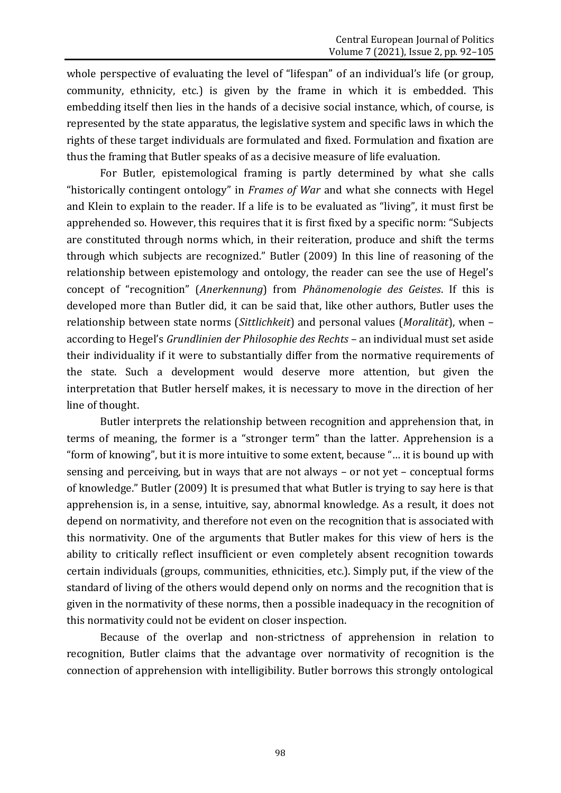whole perspective of evaluating the level of "lifespan" of an individual's life (or group, community, ethnicity, etc.) is given by the frame in which it is embedded. This embedding itself then lies in the hands of a decisive social instance, which, of course, is represented by the state apparatus, the legislative system and specific laws in which the rights of these target individuals are formulated and fixed. Formulation and fixation are thus the framing that Butler speaks of as a decisive measure of life evaluation.

For Butler, epistemological framing is partly determined by what she calls "historically contingent ontology" in *Frames of War* and what she connects with Hegel and Klein to explain to the reader. If a life is to be evaluated as "living", it must first be apprehended so. However, this requires that it is first fixed by a specific norm: "Subjects are constituted through norms which, in their reiteration, produce and shift the terms through which subjects are recognized." Butler (2009) In this line of reasoning of the relationship between epistemology and ontology, the reader can see the use of Hegel's concept of "recognition" (*Anerkennung*) from *Phänomenologie des Geistes*. If this is developed more than Butler did, it can be said that, like other authors, Butler uses the relationship between state norms (*Sittlichkeit*) and personal values (*Moralität*), when – according to Hegel's *Grundlinien der Philosophie des Rechts* – an individual must set aside their individuality if it were to substantially differ from the normative requirements of the state. Such a development would deserve more attention, but given the interpretation that Butler herself makes, it is necessary to move in the direction of her line of thought.

Butler interprets the relationship between recognition and apprehension that, in terms of meaning, the former is a "stronger term" than the latter. Apprehension is a "form of knowing", but it is more intuitive to some extent, because "… it is bound up with sensing and perceiving, but in ways that are not always – or not yet – conceptual forms of knowledge." Butler (2009) It is presumed that what Butler is trying to say here is that apprehension is, in a sense, intuitive, say, abnormal knowledge. As a result, it does not depend on normativity, and therefore not even on the recognition that is associated with this normativity. One of the arguments that Butler makes for this view of hers is the ability to critically reflect insufficient or even completely absent recognition towards certain individuals (groups, communities, ethnicities, etc.). Simply put, if the view of the standard of living of the others would depend only on norms and the recognition that is given in the normativity of these norms, then a possible inadequacy in the recognition of this normativity could not be evident on closer inspection.

Because of the overlap and non-strictness of apprehension in relation to recognition, Butler claims that the advantage over normativity of recognition is the connection of apprehension with intelligibility. Butler borrows this strongly ontological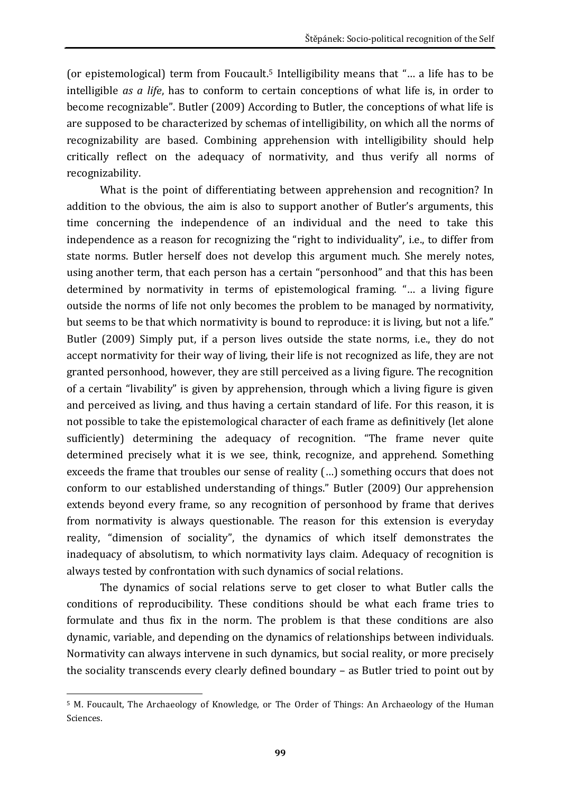(or epistemological) term from Foucault.<sup>5</sup> Intelligibility means that "… a life has to be intelligible *as a life*, has to conform to certain conceptions of what life is, in order to become recognizable". Butler (2009) According to Butler, the conceptions of what life is are supposed to be characterized by schemas of intelligibility, on which all the norms of recognizability are based. Combining apprehension with intelligibility should help critically reflect on the adequacy of normativity, and thus verify all norms of recognizability.

What is the point of differentiating between apprehension and recognition? In addition to the obvious, the aim is also to support another of Butler's arguments, this time concerning the independence of an individual and the need to take this independence as a reason for recognizing the "right to individuality", i.e., to differ from state norms. Butler herself does not develop this argument much. She merely notes, using another term, that each person has a certain "personhood" and that this has been determined by normativity in terms of epistemological framing. "… a living figure outside the norms of life not only becomes the problem to be managed by normativity, but seems to be that which normativity is bound to reproduce: it is living, but not a life." Butler (2009) Simply put, if a person lives outside the state norms, i.e., they do not accept normativity for their way of living, their life is not recognized as life, they are not granted personhood, however, they are still perceived as a living figure. The recognition of a certain "livability" is given by apprehension, through which a living figure is given and perceived as living, and thus having a certain standard of life. For this reason, it is not possible to take the epistemological character of each frame as definitively (let alone sufficiently) determining the adequacy of recognition. "The frame never quite determined precisely what it is we see, think, recognize, and apprehend. Something exceeds the frame that troubles our sense of reality (…) something occurs that does not conform to our established understanding of things." Butler (2009) Our apprehension extends beyond every frame, so any recognition of personhood by frame that derives from normativity is always questionable. The reason for this extension is everyday reality, "dimension of sociality", the dynamics of which itself demonstrates the inadequacy of absolutism, to which normativity lays claim. Adequacy of recognition is always tested by confrontation with such dynamics of social relations.

The dynamics of social relations serve to get closer to what Butler calls the conditions of reproducibility. These conditions should be what each frame tries to formulate and thus fix in the norm. The problem is that these conditions are also dynamic, variable, and depending on the dynamics of relationships between individuals. Normativity can always intervene in such dynamics, but social reality, or more precisely the sociality transcends every clearly defined boundary – as Butler tried to point out by

**<sup>.</sup>** <sup>5</sup> M. Foucault, The Archaeology of Knowledge, or The Order of Things: An Archaeology of the Human Sciences.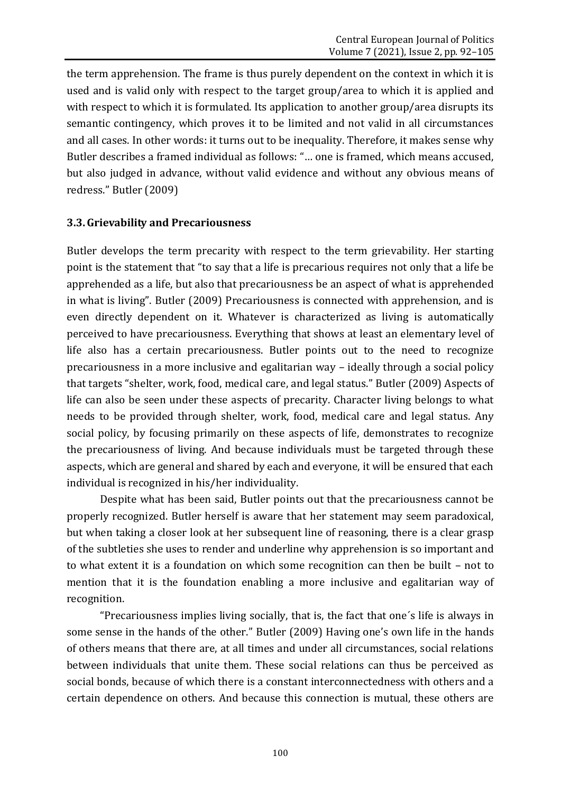the term apprehension. The frame is thus purely dependent on the context in which it is used and is valid only with respect to the target group/area to which it is applied and with respect to which it is formulated. Its application to another group/area disrupts its semantic contingency, which proves it to be limited and not valid in all circumstances and all cases. In other words: it turns out to be inequality. Therefore, it makes sense why Butler describes a framed individual as follows: "… one is framed, which means accused, but also judged in advance, without valid evidence and without any obvious means of redress." Butler (2009)

#### **3.3.Grievability and Precariousness**

Butler develops the term precarity with respect to the term grievability. Her starting point is the statement that "to say that a life is precarious requires not only that a life be apprehended as a life, but also that precariousness be an aspect of what is apprehended in what is living". Butler (2009) Precariousness is connected with apprehension, and is even directly dependent on it. Whatever is characterized as living is automatically perceived to have precariousness. Everything that shows at least an elementary level of life also has a certain precariousness. Butler points out to the need to recognize precariousness in a more inclusive and egalitarian way – ideally through a social policy that targets "shelter, work, food, medical care, and legal status." Butler (2009) Aspects of life can also be seen under these aspects of precarity. Character living belongs to what needs to be provided through shelter, work, food, medical care and legal status. Any social policy, by focusing primarily on these aspects of life, demonstrates to recognize the precariousness of living. And because individuals must be targeted through these aspects, which are general and shared by each and everyone, it will be ensured that each individual is recognized in his/her individuality.

Despite what has been said, Butler points out that the precariousness cannot be properly recognized. Butler herself is aware that her statement may seem paradoxical, but when taking a closer look at her subsequent line of reasoning, there is a clear grasp of the subtleties she uses to render and underline why apprehension is so important and to what extent it is a foundation on which some recognition can then be built – not to mention that it is the foundation enabling a more inclusive and egalitarian way of recognition.

"Precariousness implies living socially, that is, the fact that one´s life is always in some sense in the hands of the other." Butler (2009) Having one's own life in the hands of others means that there are, at all times and under all circumstances, social relations between individuals that unite them. These social relations can thus be perceived as social bonds, because of which there is a constant interconnectedness with others and a certain dependence on others. And because this connection is mutual, these others are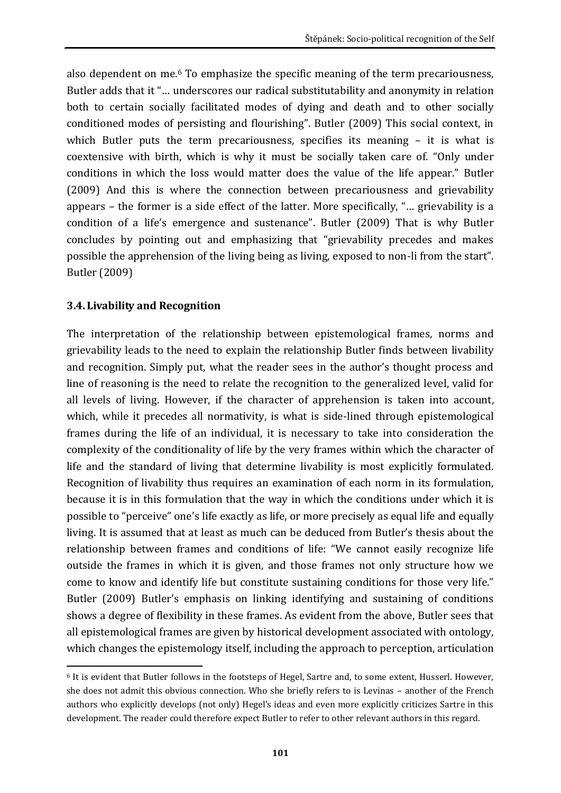also dependent on me.<sup>6</sup> To emphasize the specific meaning of the term precariousness, Butler adds that it "… underscores our radical substitutability and anonymity in relation both to certain socially facilitated modes of dying and death and to other socially conditioned modes of persisting and flourishing". Butler (2009) This social context, in which Butler puts the term precariousness, specifies its meaning - it is what is coextensive with birth, which is why it must be socially taken care of. "Only under conditions in which the loss would matter does the value of the life appear." Butler (2009) And this is where the connection between precariousness and grievability appears – the former is a side effect of the latter. More specifically, "… grievability is a condition of a life's emergence and sustenance". Butler (2009) That is why Butler concludes by pointing out and emphasizing that "grievability precedes and makes possible the apprehension of the living being as living, exposed to non-li from the start". Butler (2009)

#### **3.4. Livability and Recognition**

The interpretation of the relationship between epistemological frames, norms and grievability leads to the need to explain the relationship Butler finds between livability and recognition. Simply put, what the reader sees in the author's thought process and line of reasoning is the need to relate the recognition to the generalized level, valid for all levels of living. However, if the character of apprehension is taken into account, which, while it precedes all normativity, is what is side-lined through epistemological frames during the life of an individual, it is necessary to take into consideration the complexity of the conditionality of life by the very frames within which the character of life and the standard of living that determine livability is most explicitly formulated. Recognition of livability thus requires an examination of each norm in its formulation, because it is in this formulation that the way in which the conditions under which it is possible to "perceive" one's life exactly as life, or more precisely as equal life and equally living. It is assumed that at least as much can be deduced from Butler's thesis about the relationship between frames and conditions of life: "We cannot easily recognize life outside the frames in which it is given, and those frames not only structure how we come to know and identify life but constitute sustaining conditions for those very life." Butler (2009) Butler's emphasis on linking identifying and sustaining of conditions shows a degree of flexibility in these frames. As evident from the above, Butler sees that all epistemological frames are given by historical development associated with ontology, which changes the epistemology itself, including the approach to perception, articulation

**<sup>.</sup>** <sup>6</sup> It is evident that Butler follows in the footsteps of Hegel, Sartre and, to some extent, Husserl. However, she does not admit this obvious connection. Who she briefly refers to is Levinas – another of the French authors who explicitly develops (not only) Hegel's ideas and even more explicitly criticizes Sartre in this development. The reader could therefore expect Butler to refer to other relevant authors in this regard.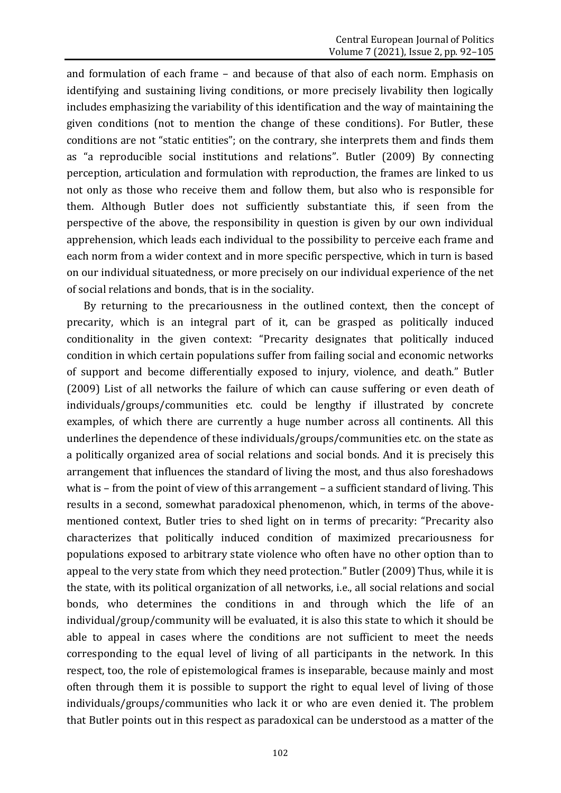and formulation of each frame – and because of that also of each norm. Emphasis on identifying and sustaining living conditions, or more precisely livability then logically includes emphasizing the variability of this identification and the way of maintaining the given conditions (not to mention the change of these conditions). For Butler, these conditions are not "static entities"; on the contrary, she interprets them and finds them as "a reproducible social institutions and relations". Butler (2009) By connecting perception, articulation and formulation with reproduction, the frames are linked to us not only as those who receive them and follow them, but also who is responsible for them. Although Butler does not sufficiently substantiate this, if seen from the perspective of the above, the responsibility in question is given by our own individual apprehension, which leads each individual to the possibility to perceive each frame and each norm from a wider context and in more specific perspective, which in turn is based on our individual situatedness, or more precisely on our individual experience of the net of social relations and bonds, that is in the sociality.

By returning to the precariousness in the outlined context, then the concept of precarity, which is an integral part of it, can be grasped as politically induced conditionality in the given context: "Precarity designates that politically induced condition in which certain populations suffer from failing social and economic networks of support and become differentially exposed to injury, violence, and death." Butler (2009) List of all networks the failure of which can cause suffering or even death of individuals/groups/communities etc. could be lengthy if illustrated by concrete examples, of which there are currently a huge number across all continents. All this underlines the dependence of these individuals/groups/communities etc. on the state as a politically organized area of social relations and social bonds. And it is precisely this arrangement that influences the standard of living the most, and thus also foreshadows what is – from the point of view of this arrangement – a sufficient standard of living. This results in a second, somewhat paradoxical phenomenon, which, in terms of the abovementioned context, Butler tries to shed light on in terms of precarity: "Precarity also characterizes that politically induced condition of maximized precariousness for populations exposed to arbitrary state violence who often have no other option than to appeal to the very state from which they need protection." Butler (2009) Thus, while it is the state, with its political organization of all networks, i.e., all social relations and social bonds, who determines the conditions in and through which the life of an individual/group/community will be evaluated, it is also this state to which it should be able to appeal in cases where the conditions are not sufficient to meet the needs corresponding to the equal level of living of all participants in the network. In this respect, too, the role of epistemological frames is inseparable, because mainly and most often through them it is possible to support the right to equal level of living of those individuals/groups/communities who lack it or who are even denied it. The problem that Butler points out in this respect as paradoxical can be understood as a matter of the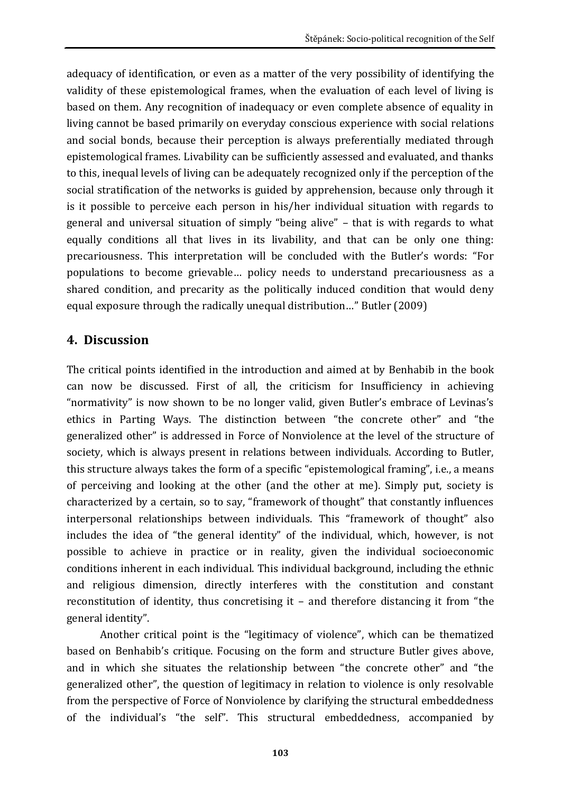adequacy of identification, or even as a matter of the very possibility of identifying the validity of these epistemological frames, when the evaluation of each level of living is based on them. Any recognition of inadequacy or even complete absence of equality in living cannot be based primarily on everyday conscious experience with social relations and social bonds, because their perception is always preferentially mediated through epistemological frames. Livability can be sufficiently assessed and evaluated, and thanks to this, inequal levels of living can be adequately recognized only if the perception of the social stratification of the networks is guided by apprehension, because only through it is it possible to perceive each person in his/her individual situation with regards to general and universal situation of simply "being alive" – that is with regards to what equally conditions all that lives in its livability, and that can be only one thing: precariousness. This interpretation will be concluded with the Butler's words: "For populations to become grievable… policy needs to understand precariousness as a shared condition, and precarity as the politically induced condition that would deny equal exposure through the radically unequal distribution…" Butler (2009)

### **4. Discussion**

The critical points identified in the introduction and aimed at by Benhabib in the book can now be discussed. First of all, the criticism for Insufficiency in achieving "normativity" is now shown to be no longer valid, given Butler's embrace of Levinas's ethics in Parting Ways. The distinction between "the concrete other" and "the generalized other" is addressed in Force of Nonviolence at the level of the structure of society, which is always present in relations between individuals. According to Butler, this structure always takes the form of a specific "epistemological framing", i.e., a means of perceiving and looking at the other (and the other at me). Simply put, society is characterized by a certain, so to say, "framework of thought" that constantly influences interpersonal relationships between individuals. This "framework of thought" also includes the idea of "the general identity" of the individual, which, however, is not possible to achieve in practice or in reality, given the individual socioeconomic conditions inherent in each individual. This individual background, including the ethnic and religious dimension, directly interferes with the constitution and constant reconstitution of identity, thus concretising it – and therefore distancing it from "the general identity".

Another critical point is the "legitimacy of violence", which can be thematized based on Benhabib's critique. Focusing on the form and structure Butler gives above, and in which she situates the relationship between "the concrete other" and "the generalized other", the question of legitimacy in relation to violence is only resolvable from the perspective of Force of Nonviolence by clarifying the structural embeddedness of the individual's "the self". This structural embeddedness, accompanied by

**103**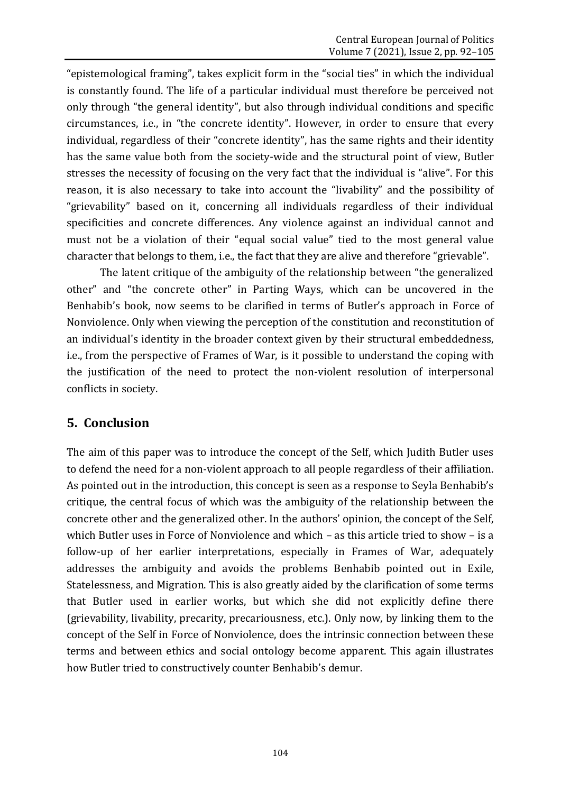"epistemological framing", takes explicit form in the "social ties" in which the individual is constantly found. The life of a particular individual must therefore be perceived not only through "the general identity", but also through individual conditions and specific circumstances, i.e., in "the concrete identity". However, in order to ensure that every individual, regardless of their "concrete identity", has the same rights and their identity has the same value both from the society-wide and the structural point of view, Butler stresses the necessity of focusing on the very fact that the individual is "alive". For this reason, it is also necessary to take into account the "livability" and the possibility of "grievability" based on it, concerning all individuals regardless of their individual specificities and concrete differences. Any violence against an individual cannot and must not be a violation of their "equal social value" tied to the most general value character that belongs to them, i.e., the fact that they are alive and therefore "grievable".

The latent critique of the ambiguity of the relationship between "the generalized other" and "the concrete other" in Parting Ways, which can be uncovered in the Benhabib's book, now seems to be clarified in terms of Butler's approach in Force of Nonviolence. Only when viewing the perception of the constitution and reconstitution of an individual's identity in the broader context given by their structural embeddedness, i.e., from the perspective of Frames of War, is it possible to understand the coping with the justification of the need to protect the non-violent resolution of interpersonal conflicts in society.

### **5. Conclusion**

The aim of this paper was to introduce the concept of the Self, which Judith Butler uses to defend the need for a non-violent approach to all people regardless of their affiliation. As pointed out in the introduction, this concept is seen as a response to Seyla Benhabib's critique, the central focus of which was the ambiguity of the relationship between the concrete other and the generalized other. In the authors' opinion, the concept of the Self, which Butler uses in Force of Nonviolence and which – as this article tried to show – is a follow-up of her earlier interpretations, especially in Frames of War, adequately addresses the ambiguity and avoids the problems Benhabib pointed out in Exile, Statelessness, and Migration. This is also greatly aided by the clarification of some terms that Butler used in earlier works, but which she did not explicitly define there (grievability, livability, precarity, precariousness, etc.). Only now, by linking them to the concept of the Self in Force of Nonviolence, does the intrinsic connection between these terms and between ethics and social ontology become apparent. This again illustrates how Butler tried to constructively counter Benhabib's demur.